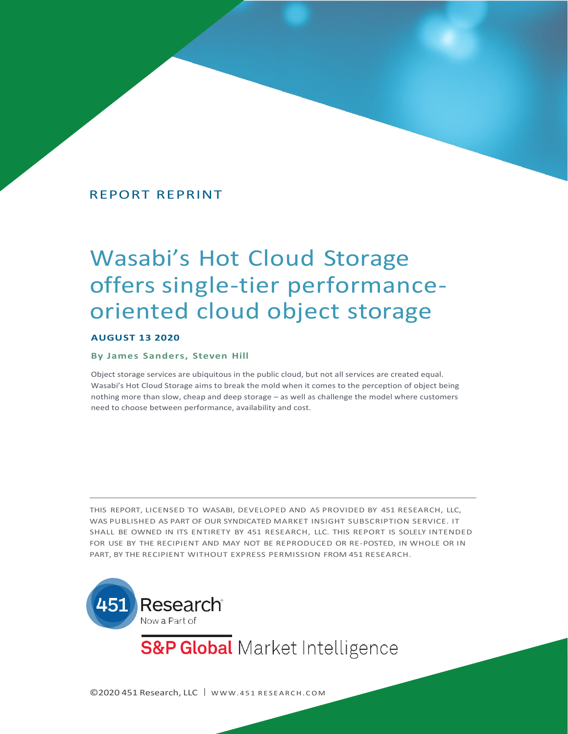# REPORT REPRINT

# Wasabi's Hot Cloud Storage offers single-tier performanceoriented cloud object storage

#### **AUGUST 13 2020**

#### **By James Sanders, Steven Hill**

Object storage services are ubiquitous in the public cloud, but not all services are created equal. Wasabi's Hot Cloud Storage aims to break the mold when it comes to the perception of object being nothing more than slow, cheap and deep storage – as well as challenge the model where customers need to choose between performance, availability and cost.

THIS REPORT, LICENSED TO WASABI, DEVELOPED AND AS PROVIDED BY 451 RESEARCH, LLC, WAS PUBLISHED AS PART OF OUR SYNDICATED MARKET INSIGHT SUBSCRIPTION SERVICE. IT SHALL BE OWNED IN ITS ENTIRETY BY 451 RESEARCH, LLC. THIS REPORT IS SOLELY INTENDED FOR USE BY THE RECIPIENT AND MAY NOT BE REPRODUCED OR RE-POSTED, IN WHOLE OR IN PART, BY THE RECIPIENT WITHOUT EXPRESS PERMISSION FROM 451 RESEARCH.



**S&P Global** Market Intelligence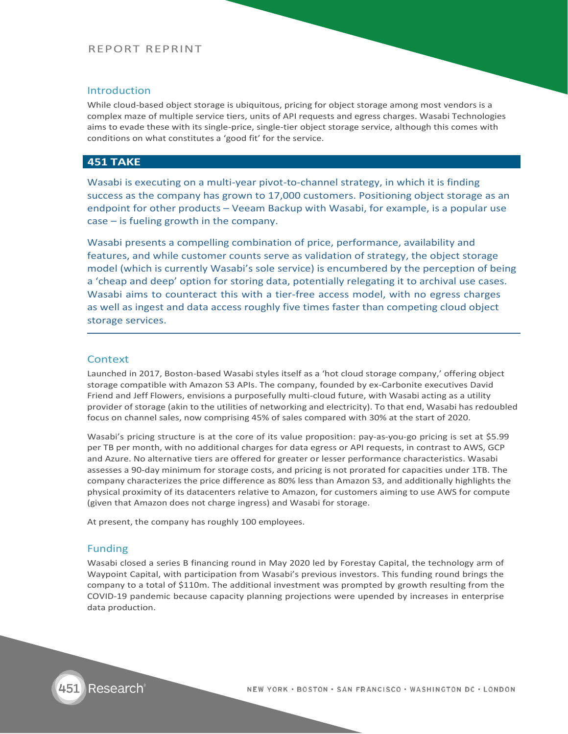## REPORT REPRINT

#### Introduction

While cloud-based object storage is ubiquitous, pricing for object storage among most vendors is a complex maze of multiple service tiers, units of API requests and egress charges. Wasabi Technologies aims to evade these with its single-price, single-tier object storage service, although this comes with conditions on what constitutes a 'good fit' for the service.

## **451 TAKE**

Wasabi is executing on a multi-year pivot-to-channel strategy, in which it is finding success as the company has grown to 17,000 customers. Positioning object storage as an endpoint for other products – Veeam Backup with Wasabi, for example, is a popular use case – is fueling growth in the company.

Wasabi presents a compelling combination of price, performance, availability and features, and while customer counts serve as validation of strategy, the object storage model (which is currently Wasabi's sole service) is encumbered by the perception of being a 'cheap and deep' option for storing data, potentially relegating it to archival use cases. Wasabi aims to counteract this with a tier-free access model, with no egress charges as well as ingest and data access roughly five times faster than competing cloud object storage services.

#### Context

Launched in 2017, Boston-based Wasabi styles itself as a 'hot cloud storage company,' offering object storage compatible with Amazon S3 APIs. The company, founded by ex-Carbonite executives David Friend and Jeff Flowers, envisions a purposefully multi-cloud future, with Wasabi acting as a utility provider of storage (akin to the utilities of networking and electricity). To that end, Wasabi has redoubled focus on channel sales, now comprising 45% of sales compared with 30% at the start of 2020.

Wasabi's pricing structure is at the core of its value proposition: pay-as-you-go pricing is set at \$5.99 per TB per month, with no additional charges for data egress or API requests, in contrast to AWS, GCP and Azure. No alternative tiers are offered for greater or lesser performance characteristics. Wasabi assesses a 90-day minimum for storage costs, and pricing is not prorated for capacities under 1TB. The company characterizes the price difference as 80% less than Amazon S3, and additionally highlights the physical proximity of its datacenters relative to Amazon, for customers aiming to use AWS for compute (given that Amazon does not charge ingress) and Wasabi for storage.

At present, the company has roughly 100 employees.

#### Funding

Wasabi closed a series B financing round in May 2020 led by Forestay Capital, the technology arm of Waypoint Capital, with participation from Wasabi's previous investors. This funding round brings the company to a total of \$110m. The additional investment was prompted by growth resulting from the COVID-19 pandemic because capacity planning projections were upended by increases in enterprise data production.

NEW YORK . BOSTON . SAN FRANCISCO . WASHINGTON DC . LONDON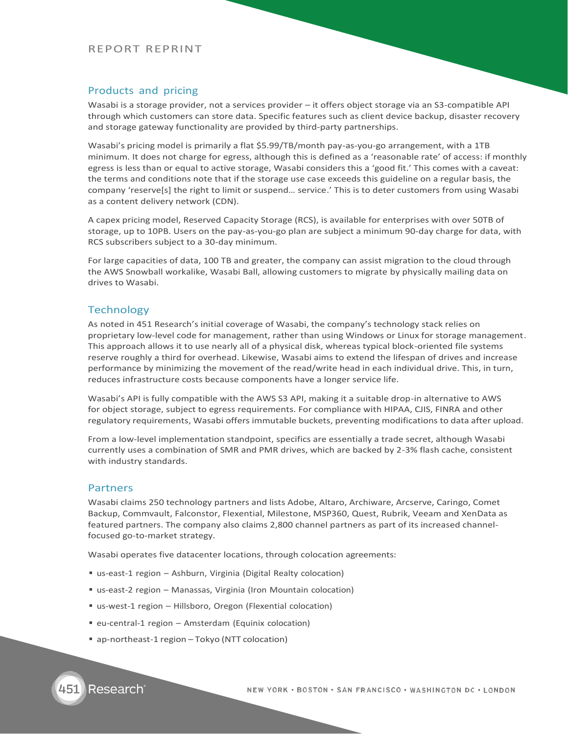#### REPORT REPRINT

## Products and pricing

Wasabi is a storage provider, not a services provider – it offers object storage via an S3-compatible API through which customers can store data. Specific features such as client device backup, disaster recovery and storage gateway functionality are provided by third-party partnerships.

Wasabi's pricing model is primarily a flat \$5.99/TB/month pay-as-you-go arrangement, with a 1TB minimum. It does not charge for egress, although this is defined as a 'reasonable rate' of access: if monthly egress is less than or equal to active storage, Wasabi considers this a 'good fit.' This comes with a caveat: the terms and conditions note that if the storage use case exceeds this guideline on a regular basis, the company 'reserve[s] the right to limit or suspend… service.' This is to deter customers from using Wasabi as a content delivery network (CDN).

A capex pricing model, Reserved Capacity Storage (RCS), is available for enterprises with over 50TB of storage, up to 10PB. Users on the pay-as-you-go plan are subject a minimum 90-day charge for data, with RCS subscribers subject to a 30-day minimum.

For large capacities of data, 100 TB and greater, the company can assist migration to the cloud through the AWS Snowball workalike, Wasabi Ball, allowing customers to migrate by physically mailing data on drives to Wasabi.

## **Technology**

As noted in 451 Research's initial coverage of Wasabi, the company's technology stack relies on proprietary low-level code for management, rather than using Windows or Linux for storage management. This approach allows it to use nearly all of a physical disk, whereas typical block-oriented file systems reserve roughly a third for overhead. Likewise, Wasabi aims to extend the lifespan of drives and increase performance by minimizing the movement of the read/write head in each individual drive. This, in turn, reduces infrastructure costs because components have a longer service life.

Wasabi's API is fully compatible with the AWS S3 API, making it a suitable drop-in alternative to AWS for object storage, subject to egress requirements. For compliance with HIPAA, CJIS, FINRA and other regulatory requirements, Wasabi offers immutable buckets, preventing modifications to data after upload.

From a low-level implementation standpoint, specifics are essentially a trade secret, although Wasabi currently uses a combination of SMR and PMR drives, which are backed by 2-3% flash cache, consistent with industry standards.

#### Partners

Wasabi claims 250 technology partners and lists Adobe, Altaro, Archiware, Arcserve, Caringo, Comet Backup, Commvault, Falconstor, Flexential, Milestone, MSP360, Quest, Rubrik, Veeam and XenData as featured partners. The company also claims 2,800 channel partners as part of its increased channelfocused go-to-market strategy.

Wasabi operates five datacenter locations, through colocation agreements:

- us-east-1 region Ashburn, Virginia (Digital Realty colocation)
- us-east-2 region Manassas, Virginia (Iron Mountain colocation)
- us-west-1 region Hillsboro, Oregon (Flexential colocation)
- eu-central-1 region Amsterdam (Equinix colocation)
- ap-northeast-1 region Tokyo (NTT colocation)